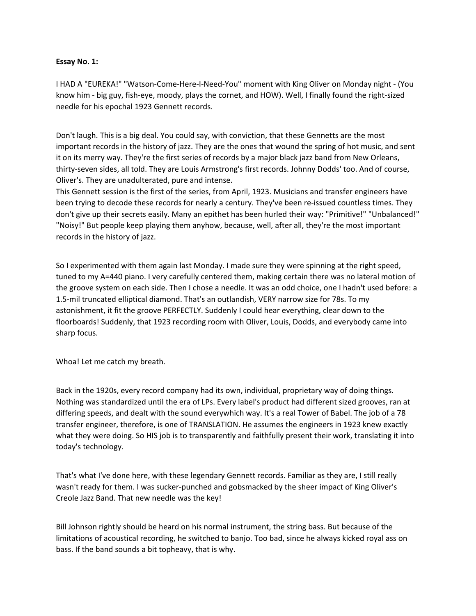## **Essay No. 1:**

I HAD A "EUREKA!" "Watson-Come-Here-I-Need-You" moment with King Oliver on Monday night - (You know him - big guy, fish-eye, moody, plays the cornet, and HOW). Well, I finally found the right-sized needle for his epochal 1923 Gennett records.

Don't laugh. This is a big deal. You could say, with conviction, that these Gennetts are the most important records in the history of jazz. They are the ones that wound the spring of hot music, and sent it on its merry way. They're the first series of records by a major black jazz band from New Orleans, thirty-seven sides, all told. They are Louis Armstrong's first records. Johnny Dodds' too. And of course, Oliver's. They are unadulterated, pure and intense.

This Gennett session is the first of the series, from April, 1923. Musicians and transfer engineers have been trying to decode these records for nearly a century. They've been re-issued countless times. They don't give up their secrets easily. Many an epithet has been hurled their way: "Primitive!" "Unbalanced!" "Noisy!" But people keep playing them anyhow, because, well, after all, they're the most important records in the history of jazz.

So I experimented with them again last Monday. I made sure they were spinning at the right speed, tuned to my A=440 piano. I very carefully centered them, making certain there was no lateral motion of the groove system on each side. Then I chose a needle. It was an odd choice, one I hadn't used before: a 1.5-mil truncated elliptical diamond. That's an outlandish, VERY narrow size for 78s. To my astonishment, it fit the groove PERFECTLY. Suddenly I could hear everything, clear down to the floorboards! Suddenly, that 1923 recording room with Oliver, Louis, Dodds, and everybody came into sharp focus.

Whoa! Let me catch my breath.

Back in the 1920s, every record company had its own, individual, proprietary way of doing things. Nothing was standardized until the era of LPs. Every label's product had different sized grooves, ran at differing speeds, and dealt with the sound everywhich way. It's a real Tower of Babel. The job of a 78 transfer engineer, therefore, is one of TRANSLATION. He assumes the engineers in 1923 knew exactly what they were doing. So HIS job is to transparently and faithfully present their work, translating it into today's technology.

That's what I've done here, with these legendary Gennett records. Familiar as they are, I still really wasn't ready for them. I was sucker-punched and gobsmacked by the sheer impact of King Oliver's Creole Jazz Band. That new needle was the key!

Bill Johnson rightly should be heard on his normal instrument, the string bass. But because of the limitations of acoustical recording, he switched to banjo. Too bad, since he always kicked royal ass on bass. If the band sounds a bit topheavy, that is why.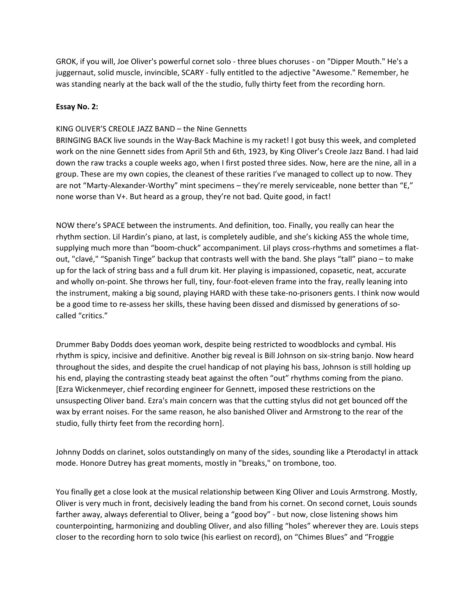GROK, if you will, Joe Oliver's powerful cornet solo - three blues choruses - on "Dipper Mouth." He's a juggernaut, solid muscle, invincible, SCARY - fully entitled to the adjective "Awesome." Remember, he was standing nearly at the back wall of the the studio, fully thirty feet from the recording horn.

## **Essay No. 2:**

## KING OLIVER'S CREOLE JAZZ BAND – the Nine Gennetts

BRINGING BACK live sounds in the Way-Back Machine is my racket! I got busy this week, and completed work on the nine Gennett sides from April 5th and 6th, 1923, by King Oliver's Creole Jazz Band. I had laid down the raw tracks a couple weeks ago, when I first posted three sides. Now, here are the nine, all in a group. These are my own copies, the cleanest of these rarities I've managed to collect up to now. They are not "Marty-Alexander-Worthy" mint specimens – they're merely serviceable, none better than "E," none worse than V+. But heard as a group, they're not bad. Quite good, in fact!

NOW there's SPACE between the instruments. And definition, too. Finally, you really can hear the rhythm section. Lil Hardin's piano, at last, is completely audible, and she's kicking ASS the whole time, supplying much more than "boom-chuck" accompaniment. Lil plays cross-rhythms and sometimes a flatout, "clavé," "Spanish Tinge" backup that contrasts well with the band. She plays "tall" piano – to make up for the lack of string bass and a full drum kit. Her playing is impassioned, copasetic, neat, accurate and wholly on-point. She throws her full, tiny, four-foot-eleven frame into the fray, really leaning into the instrument, making a big sound, playing HARD with these take-no-prisoners gents. I think now would be a good time to re-assess her skills, these having been dissed and dismissed by generations of socalled "critics."

Drummer Baby Dodds does yeoman work, despite being restricted to woodblocks and cymbal. His rhythm is spicy, incisive and definitive. Another big reveal is Bill Johnson on six-string banjo. Now heard throughout the sides, and despite the cruel handicap of not playing his bass, Johnson is still holding up his end, playing the contrasting steady beat against the often "out" rhythms coming from the piano. [Ezra Wickenmeyer, chief recording engineer for Gennett, imposed these restrictions on the unsuspecting Oliver band. Ezra's main concern was that the cutting stylus did not get bounced off the wax by errant noises. For the same reason, he also banished Oliver and Armstrong to the rear of the studio, fully thirty feet from the recording horn].

Johnny Dodds on clarinet, solos outstandingly on many of the sides, sounding like a Pterodactyl in attack mode. Honore Dutrey has great moments, mostly in "breaks," on trombone, too.

You finally get a close look at the musical relationship between King Oliver and Louis Armstrong. Mostly, Oliver is very much in front, decisively leading the band from his cornet. On second cornet, Louis sounds farther away, always deferential to Oliver, being a "good boy" - but now, close listening shows him counterpointing, harmonizing and doubling Oliver, and also filling "holes" wherever they are. Louis steps closer to the recording horn to solo twice (his earliest on record), on "Chimes Blues" and "Froggie